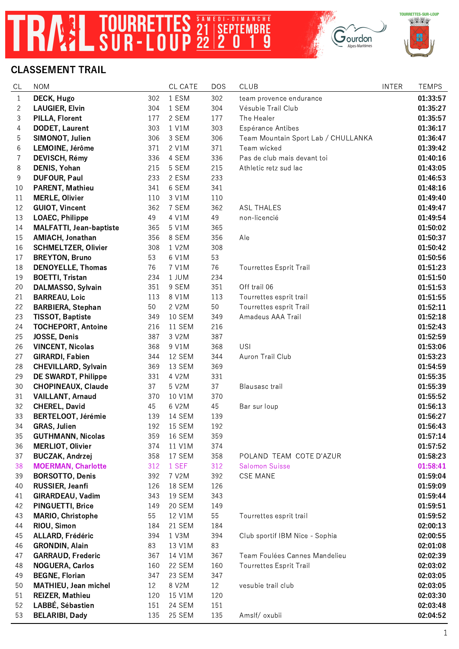## TRAZ TOURRETTES SANFOLLOLANCHE

|  |  | <b>CLASSEMENT TRAIL</b> |  |
|--|--|-------------------------|--|
|  |  |                         |  |

| CL             | <b>NOM</b>                     |     | CL CATE       | <b>DOS</b> | <b>CLUB</b>                         | <b>INTER</b> | <b>TEMPS</b> |
|----------------|--------------------------------|-----|---------------|------------|-------------------------------------|--------------|--------------|
| $\mathbf{1}$   | DECK, Hugo                     | 302 | 1 ESM         | 302        | team provence endurance             |              | 01:33:57     |
| $\overline{c}$ | <b>LAUGIER, Elvin</b>          | 304 | 1 SEM         | 304        | Vésubie Trail Club                  |              | 01:35:27     |
| 3              | PILLA, Florent                 | 177 | 2 SEM         | 177        | The Healer                          |              | 01:35:57     |
| $\overline{4}$ | <b>DODET, Laurent</b>          | 303 | 1 V1M         | 303        | Espérance Antibes                   |              | 01:36:17     |
| 5              | SIMONOT, Julien                | 306 | 3 SEM         | 306        | Team Mountain Sport Lab / CHULLANKA |              | 01:36:47     |
| 6              | LEMOINE, Jérôme                | 371 | 2 V1M         | 371        | Team wicked                         |              | 01:39:42     |
| $\overline{7}$ | DEVISCH, Rémy                  | 336 | 4 SEM         | 336        | Pas de club mais devant toi         |              | 01:40:16     |
| 8              | DENIS, Yohan                   | 215 | 5 SEM         | 215        | Athletic retz sud lac               |              | 01:43:05     |
| $\,9$          | <b>DUFOUR, Paul</b>            | 233 | 2 ESM         | 233        |                                     |              | 01:46:53     |
| $10$           | PARENT, Mathieu                | 341 | 6 SEM         | 341        |                                     |              | 01:48:16     |
| 11             | <b>MERLE, Olivier</b>          | 110 | 3 V1M         | 110        |                                     |              | 01:49:40     |
| 12             | <b>GUIOT, Vincent</b>          | 362 | 7 SEM         | 362        | <b>ASL THALES</b>                   |              | 01:49:47     |
| 13             | <b>LOAEC, Philippe</b>         | 49  | 4 V1M         | 49         | non-licencié                        |              | 01:49:54     |
| 14             | <b>MALFATTI, Jean-baptiste</b> | 365 | 5 V1M         | 365        |                                     |              | 01:50:02     |
| 15             | AMIACH, Jonathan               | 356 | 8 SEM         | 356        | Ale                                 |              | 01:50:37     |
| 16             | <b>SCHMELTZER, Olivier</b>     | 308 | 1 V2M         | 308        |                                     |              | 01:50:42     |
| 17             | <b>BREYTON, Bruno</b>          | 53  | 6 V1M         | 53         |                                     |              | 01:50:56     |
| 18             | <b>DENOYELLE, Thomas</b>       | 76  | 7 V1M         | 76         | <b>Tourrettes Esprit Trail</b>      |              | 01:51:23     |
| 19             | <b>BOETTI, Tristan</b>         | 234 | 1 JUM         | 234        |                                     |              | 01:51:50     |
| 20             | DALMASSO, Sylvain              | 351 | 9 SEM         | 351        | Off trail 06                        |              | 01:51:53     |
| 21             | <b>BARREAU, Loic</b>           | 113 | 8 V1M         | 113        | Tourrettes esprit trail             |              | 01:51:55     |
| 22             | <b>BARBIERA, Stephan</b>       | 50  | 2 V2M         | 50         | Tourrettes esprit Trail             |              | 01:52:11     |
| 23             | <b>TISSOT, Baptiste</b>        | 349 | <b>10 SEM</b> | 349        | Amadeus AAA Trail                   |              | 01:52:18     |
| 24             | <b>TOCHEPORT, Antoine</b>      | 216 | 11 SEM        | 216        |                                     |              | 01:52:43     |
| 25             | JOSSE, Denis                   | 387 | 3 V2M         | 387        |                                     |              | 01:52:59     |
| 26             | <b>VINCENT, Nicolas</b>        | 368 | 9 V1M         | 368        | <b>USI</b>                          |              | 01:53:06     |
| 27             | <b>GIRARDI, Fabien</b>         | 344 | 12 SEM        | 344        | Auron Trail Club                    |              | 01:53:23     |
| 28             | <b>CHEVILLARD, Sylvain</b>     | 369 | 13 SEM        | 369        |                                     |              | 01:54:59     |
| 29             | DE SWARDT, Philippe            | 331 | 4 V2M         | 331        |                                     |              | 01:55:35     |
| 30             | <b>CHOPINEAUX, Claude</b>      | 37  | 5 V2M         | 37         | Blausasc trail                      |              | 01:55:39     |
| 31             | <b>VAILLANT, Arnaud</b>        | 370 | 10 V1M        | 370        |                                     |              | 01:55:52     |
| 32             | CHEREL, David                  | 45  | 6 V2M         | 45         | Bar sur loup                        |              | 01:56:13     |
| 33             | <b>BERTELOOT, Jérémie</b>      | 139 | 14 SEM        | 139        |                                     |              | 01:56:27     |
| 34             | <b>GRAS, Julien</b>            | 192 | 15 SEM        | 192        |                                     |              | 01:56:43     |
| 35             | <b>GUTHMANN, Nicolas</b>       | 359 | <b>16 SEM</b> | 359        |                                     |              | 01:57:14     |
| 36             | <b>MERLIOT, Olivier</b>        | 374 | 11 V1M        | 374        |                                     |              | 01:57:52     |
| 37             | <b>BUCZAK, Andrzej</b>         | 358 | 17 SEM        | 358        | POLAND TEAM COTE D'AZUR             |              | 01:58:23     |
| 38             | <b>MOERMAN, Charlotte</b>      | 312 | 1 SEF         | 312        | <b>Salomon Suisse</b>               |              | 01:58:41     |
| 39             | <b>BORSOTTO, Denis</b>         | 392 | 7 V2M         | 392        | <b>CSE MANE</b>                     |              | 01:59:04     |
| 40             | RUSSIER, Jeanfi                | 126 | 18 SEM        | 126        |                                     |              | 01:59:09     |
| 41             | GIRARDEAU, Vadim               | 343 | 19 SEM        | 343        |                                     |              | 01:59:44     |
| 42             | <b>PINGUETTI, Brice</b>        | 149 | 20 SEM        | 149        |                                     |              | 01:59:51     |
| 43             | MARIO, Christophe              | 55  | 12 V1M        | 55         | Tourrettes esprit trail             |              | 01:59:52     |
| 44             | RIOU, Simon                    | 184 | 21 SEM        | 184        |                                     |              | 02:00:13     |
| 45             | ALLARD, Frédéric               | 394 | 1 V3M         | 394        | Club sportif IBM Nice - Sophia      |              | 02:00:55     |
| 46             | <b>GRONDIN, Alain</b>          | 83  | 13 V1M        | 83         |                                     |              | 02:01:08     |
| 47             | <b>GARRAUD, Frederic</b>       | 367 | 14 V1M        | 367        | Team Foulées Cannes Mandelieu       |              | 02:02:39     |
| 48             | <b>NOGUERA, Carlos</b>         | 160 | 22 SEM        | 160        | <b>Tourrettes Esprit Trail</b>      |              | 02:03:02     |
| 49             | <b>BEGNE, Florian</b>          | 347 | 23 SEM        | 347        |                                     |              | 02:03:05     |
| 50             | <b>MATHIEU, Jean michel</b>    | 12  | 8 V2M         | 12         | vesubie trail club                  |              | 02:03:05     |
| 51             | <b>REIZER, Mathieu</b>         | 120 | 15 V1M        | 120        |                                     |              | 02:03:30     |
| 52             | LABBÉ, Sébastien               | 151 | 24 SEM        | 151        |                                     |              | 02:03:48     |
| 53             | <b>BELARIBI, Dady</b>          | 135 | 25 SEM        | 135        | Amslf/oxubii                        |              | 02:04:52     |
|                |                                |     |               |            |                                     |              |              |



 $\fbox{ \begin{minipage}{0.5\linewidth} \[ \begin{tabular}{|c|c|} \hline \multicolumn{3}{|c|}{\textbf{Qurdon}} \\ \multicolumn{3}{|c|}{\textbf{Qurdon}} \\ \multicolumn{3}{|c|}{\textbf{Alpes-Maritimes}} \\ \hline \end{tabular} \end{minipage} }$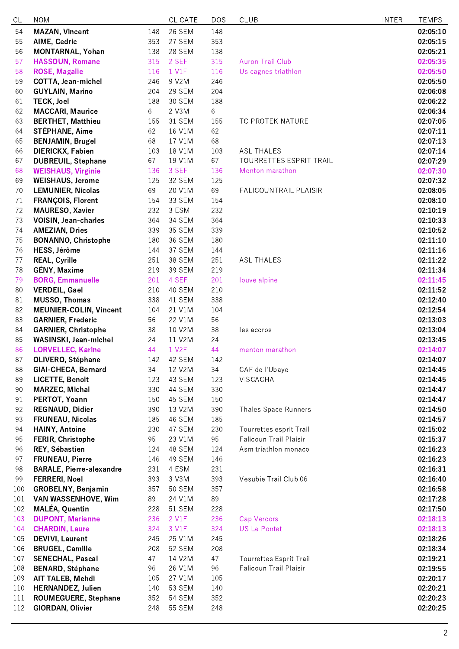| CL       | <b>NOM</b>                             |           | CL CATE          | <b>DOS</b> | <b>CLUB</b>                    | <b>INTER</b> | <b>TEMPS</b>         |
|----------|----------------------------------------|-----------|------------------|------------|--------------------------------|--------------|----------------------|
| 54       | <b>MAZAN, Vincent</b>                  | 148       | 26 SEM           | 148        |                                |              | 02:05:10             |
| 55       | AIME, Cedric                           | 353       | 27 SEM           | 353        |                                |              | 02:05:15             |
| 56       | MONTARNAL, Yohan                       | 138       | <b>28 SEM</b>    | 138        |                                |              | 02:05:21             |
| 57       | <b>HASSOUN, Romane</b>                 | 315       | 2 SEF            | 315        | <b>Auron Trail Club</b>        |              | 02:05:35             |
| 58       | <b>ROSE, Magalie</b>                   | 116       | 1 V1F            | 116        | Us cagnes triathlon            |              | 02:05:50             |
| 59       | <b>COTTA, Jean-michel</b>              | 246       | 9 V2M            | 246        |                                |              | 02:05:50             |
| 60       | <b>GUYLAIN, Marino</b>                 | 204       | 29 SEM           | 204        |                                |              | 02:06:08             |
| 61       | <b>TECK, Joel</b>                      | 188       | 30 SEM           | 188        |                                |              | 02:06:22             |
| 62       | <b>MACCARI, Maurice</b>                | 6         | 2 V3M            | 6          |                                |              | 02:06:34             |
| 63       | <b>BERTHET, Matthieu</b>               | 155       | 31 SEM           | 155        | TC PROTEK NATURE               |              | 02:07:05             |
| 64       | <b>STÉPHANE, Aime</b>                  | 62        | 16 V1M           | 62         |                                |              | 02:07:11             |
| 65       | <b>BENJAMIN, Brugel</b>                | 68        | 17 V1M           | 68         |                                |              | 02:07:13             |
| 66       | <b>DIERICKX, Fabien</b>                | 103       | 18 V1M           | 103        | <b>ASL THALES</b>              |              | 02:07:14             |
| 67       | <b>DUBREUIL, Stephane</b>              | 67        | 19 V1M           | 67         | TOURRETTES ESPRIT TRAIL        |              | 02:07:29             |
| 68       | <b>WEISHAUS, Virginie</b>              | 136       | 3 SEF            | 136        | Menton marathon                |              | 02:07:30             |
| 69       | <b>WEISHAUS, Jerome</b>                | 125       | 32 SEM           | 125        |                                |              | 02:07:32             |
| 70       | <b>LEMUNIER, Nicolas</b>               | 69        | 20 V1M           | 69         | <b>FALICOUNTRAIL PLAISIR</b>   |              | 02:08:05             |
| 71       | FRANÇOIS, Florent                      | 154       | 33 SEM           | 154        |                                |              | 02:08:10             |
| 72       | <b>MAURESO, Xavier</b>                 | 232       | 3 ESM            | 232        |                                |              | 02:10:19             |
| 73       | <b>VOISIN, Jean-charles</b>            | 364       | 34 SEM           | 364        |                                |              | 02:10:33             |
| 74       | <b>AMEZIAN, Dries</b>                  | 339       | <b>35 SEM</b>    | 339        |                                |              | 02:10:52             |
| 75       | <b>BONANNO, Christophe</b>             | 180       | 36 SEM           | 180        |                                |              | 02:11:10             |
| 76       | HESS, Jérôme                           | 144       | 37 SEM           | 144        |                                |              | 02:11:16             |
| 77       | <b>REAL, Cyrille</b>                   | 251       | <b>38 SEM</b>    | 251        | <b>ASL THALES</b>              |              | 02:11:22             |
| 78       | <b>GÉNY, Maxime</b>                    | 219       | <b>39 SEM</b>    | 219        |                                |              | 02:11:34             |
| 79       | <b>BORG, Emmanuelle</b>                | 201       | 4 SEF            | 201        | louve alpine                   |              | 02:11:45             |
| 80       | <b>VERDEIL, Gael</b>                   | 210       | 40 SEM           | 210        |                                |              | 02:11:52             |
| 81       | <b>MUSSO, Thomas</b>                   | 338       | 41 SEM           | 338        |                                |              | 02:12:40             |
| 82       | <b>MEUNIER-COLIN, Vincent</b>          | 104       | 21 V1M           | 104        |                                |              | 02:12:54             |
| 83       | <b>GARNIER, Frederic</b>               | 56        | 22 V1M           | 56         |                                |              | 02:13:03             |
| 84       | <b>GARNIER, Christophe</b>             | 38        | 10 V2M           | 38         | les accros                     |              | 02:13:04             |
| 85       | WASINSKI, Jean-michel                  | 24        | 11 V2M           | 24         |                                |              | 02:13:45             |
| 86       | <b>LORVELLEC, Karine</b>               | 44        | 1 V2F            | 44<br>142  | menton marathon                |              | 02:14:07             |
| 87<br>88 | <b>OLIVERO, Stéphane</b>               | 142       | 42 SEM<br>12 V2M | 34         |                                |              | 02:14:07             |
| 89       | GIAI-CHECA, Bernard<br>LICETTE, Benoit | 34<br>123 | 43 SEM           | 123        | CAF de l'Ubaye<br>VISCACHA     |              | 02:14:45<br>02:14:45 |
| 90       | <b>MARZEC, Michal</b>                  | 330       | 44 SEM           | 330        |                                |              | 02:14:47             |
| 91       | PERTOT, Yoann                          | 150       | 45 SEM           | 150        |                                |              | 02:14:47             |
| 92       | <b>REGNAUD, Didier</b>                 | 390       | 13 V2M           | 390        | <b>Thales Space Runners</b>    |              | 02:14:50             |
| 93       | FRUNEAU, Nicolas                       | 185       | 46 SEM           | 185        |                                |              | 02:14:57             |
| 94       | <b>HAINY, Antoine</b>                  | 230       | 47 SEM           | 230        | Tourrettes esprit Trail        |              | 02:15:02             |
| 95       | FERIR, Christophe                      | 95        | 23 V1M           | 95         | Falicoun Trail Plaisir         |              | 02:15:37             |
| 96       | REY, Sébastien                         | 124       | 48 SEM           | 124        | Asm triathlon monaco           |              | 02:16:23             |
| 97       | <b>FRUNEAU, Pierre</b>                 | 146       | 49 SEM           | 146        |                                |              | 02:16:23             |
| 98       | <b>BARALE, Pierre-alexandre</b>        | 231       | 4 ESM            | 231        |                                |              | 02:16:31             |
| 99       | <b>FERRERI, Noel</b>                   | 393       | 3 V3M            | 393        | Vesubie Trail Club 06          |              | 02:16:40             |
| 100      | GROBELNY, Benjamin                     | 357       | <b>50 SEM</b>    | 357        |                                |              | 02:16:58             |
| 101      | VAN WASSENHOVE, Wim                    | 89        | 24 V1M           | 89         |                                |              | 02:17:28             |
| 102      | <b>MALÉA, Quentin</b>                  | 228       | <b>51 SEM</b>    | 228        |                                |              | 02:17:50             |
| 103      | <b>DUPONT, Marianne</b>                | 236       | 2 V1F            | 236        | <b>Cap Vercors</b>             |              | 02:18:13             |
| 104      | <b>CHARDIN, Laure</b>                  | 324       | 3 V1F            | 324        | <b>US Le Pontet</b>            |              | 02:18:13             |
| 105      | <b>DEVIVI, Laurent</b>                 | 245       | 25 V1M           | 245        |                                |              | 02:18:26             |
| 106      | <b>BRUGEL, Camille</b>                 | 208       | <b>52 SEM</b>    | 208        |                                |              | 02:18:34             |
| 107      | <b>SENECHAL, Pascal</b>                | 47        | 14 V2M           | 47         | <b>Tourrettes Esprit Trail</b> |              | 02:19:21             |
| 108      | <b>BENARD, Stéphane</b>                | 96        | 26 V1M           | 96         | Falicoun Trail Plaisir         |              | 02:19:55             |
| 109      | AIT TALEB, Mehdi                       | 105       | 27 V1M           | 105        |                                |              | 02:20:17             |
| 110      | <b>HERNANDEZ, Julien</b>               | 140       | <b>53 SEM</b>    | 140        |                                |              | 02:20:21             |
| 111      | <b>ROUMEGUERE, Stephane</b>            | 352       | <b>54 SEM</b>    | 352        |                                |              | 02:20:23             |
| 112      | <b>GIORDAN, Olivier</b>                | 248       | <b>55 SEM</b>    | 248        |                                |              | 02:20:25             |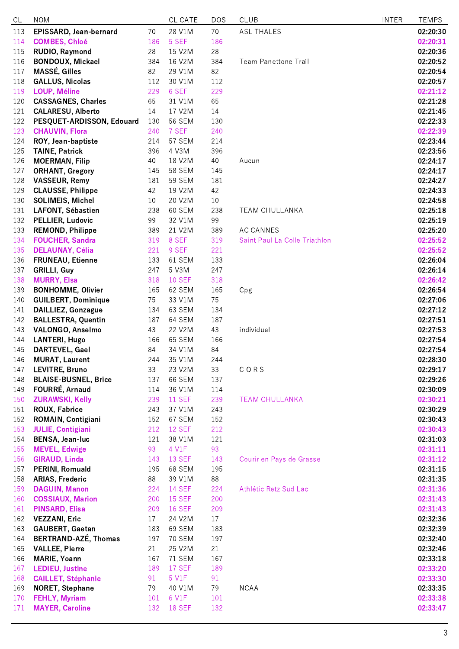| CL  | <b>NOM</b>                  |     | CL CATE       | <b>DOS</b> | <b>CLUB</b>                   | <b>INTER</b> | <b>TEMPS</b> |
|-----|-----------------------------|-----|---------------|------------|-------------------------------|--------------|--------------|
| 113 | EPISSARD, Jean-bernard      | 70  | 28 V1M        | 70         | <b>ASL THALES</b>             |              | 02:20:30     |
| 114 | <b>COMBES, Chloé</b>        | 186 | 5 SEF         | 186        |                               |              | 02:20:31     |
| 115 | RUDIO, Raymond              | 28  | 15 V2M        | 28         |                               |              | 02:20:36     |
| 116 | <b>BONDOUX, Mickael</b>     | 384 | 16 V2M        | 384        | <b>Team Panettone Trail</b>   |              | 02:20:52     |
| 117 | <b>MASSÉ, Gilles</b>        | 82  | 29 V1M        | 82         |                               |              | 02:20:54     |
| 118 | <b>GALLUS, Nicolas</b>      | 112 | 30 V1M        | 112        |                               |              | 02:20:57     |
| 119 | <b>LOUP, Méline</b>         | 229 | 6 SEF         | 229        |                               |              | 02:21:12     |
| 120 | <b>CASSAGNES, Charles</b>   | 65  | 31 V1M        | 65         |                               |              | 02:21:28     |
| 121 | <b>CALARESU, Alberto</b>    | 14  | 17 V2M        | 14         |                               |              | 02:21:45     |
| 122 | PESQUET-ARDISSON, Edouard   | 130 | <b>56 SEM</b> | 130        |                               |              | 02:22:33     |
| 123 | <b>CHAUVIN, Flora</b>       | 240 | 7 SEF         | 240        |                               |              | 02:22:39     |
| 124 | ROY, Jean-baptiste          | 214 | 57 SEM        | 214        |                               |              | 02:23:44     |
| 125 | <b>TAINE, Patrick</b>       | 396 | 4 V3M         | 396        |                               |              | 02:23:56     |
| 126 | <b>MOERMAN, Filip</b>       | 40  | 18 V2M        | 40         | Aucun                         |              | 02:24:17     |
| 127 | <b>ORHANT, Gregory</b>      | 145 | <b>58 SEM</b> | 145        |                               |              | 02:24:17     |
| 128 | <b>VASSEUR, Remy</b>        | 181 | <b>59 SEM</b> | 181        |                               |              | 02:24:27     |
| 129 | <b>CLAUSSE, Philippe</b>    | 42  | 19 V2M        | 42         |                               |              | 02:24:33     |
| 130 | <b>SOLIMEIS, Michel</b>     | 10  | 20 V2M        | 10         |                               |              | 02:24:58     |
| 131 | LAFONT, Sébastien           | 238 | <b>60 SEM</b> | 238        | <b>TEAM CHULLANKA</b>         |              | 02:25:18     |
| 132 | PELLIER, Ludovic            | 99  | 32 V1M        | 99         |                               |              | 02:25:19     |
| 133 | <b>REMOND, Philippe</b>     | 389 | 21 V2M        | 389        | <b>AC CANNES</b>              |              | 02:25:20     |
| 134 | <b>FOUCHER, Sandra</b>      | 319 | 8 SEF         | 319        | Saint Paul La Colle Triathlon |              | 02:25:52     |
| 135 | <b>DELAUNAY, Célia</b>      | 221 | 9 SEF         | 221        |                               |              | 02:25:52     |
| 136 | <b>FRUNEAU, Etienne</b>     | 133 | 61 SEM        | 133        |                               |              | 02:26:04     |
| 137 | <b>GRILLI, Guy</b>          | 247 | 5 V3M         | 247        |                               |              | 02:26:14     |
| 138 | <b>MURRY, Elsa</b>          | 318 | <b>10 SEF</b> | 318        |                               |              | 02:26:42     |
| 139 | <b>BONHOMME, Olivier</b>    | 165 | 62 SEM        | 165        | Cpg                           |              | 02:26:54     |
| 140 | <b>GUILBERT, Dominique</b>  | 75  | 33 V1M        | 75         |                               |              | 02:27:06     |
| 141 | <b>DAILLIEZ, Gonzague</b>   | 134 | 63 SEM        | 134        |                               |              | 02:27:12     |
| 142 | <b>BALLESTRA, Quentin</b>   | 187 | 64 SEM        | 187        |                               |              | 02:27:51     |
| 143 | VALONGO, Anselmo            | 43  | 22 V2M        | 43         | individuel                    |              | 02:27:53     |
| 144 | <b>LANTERI, Hugo</b>        | 166 | 65 SEM        | 166        |                               |              | 02:27:54     |
| 145 | DARTEVEL, Gael              | 84  | 34 V1M        | 84         |                               |              | 02:27:54     |
| 146 | <b>MURAT, Laurent</b>       | 244 | 35 V1M        | 244        |                               |              | 02:28:30     |
| 147 | <b>LEVITRE, Bruno</b>       | 33  | 23 V2M        | 33         | CORS                          |              | 02:29:17     |
| 148 | <b>BLAISE-BUSNEL, Brice</b> | 137 | 66 SEM        | 137        |                               |              | 02:29:26     |
| 149 | FOURRÉ, Arnaud              | 114 | 36 V1M        | 114        |                               |              | 02:30:09     |
| 150 | <b>ZURAWSKI, Kelly</b>      | 239 | <b>11 SEF</b> | 239        | <b>TEAM CHULLANKA</b>         |              | 02:30:21     |
| 151 | <b>ROUX, Fabrice</b>        | 243 | 37 V1M        | 243        |                               |              | 02:30:29     |
| 152 | ROMAIN, Contigiani          | 152 | 67 SEM        | 152        |                               |              | 02:30:43     |
| 153 | <b>JULIE, Contigiani</b>    | 212 | <b>12 SEF</b> | 212        |                               |              | 02:30:43     |
| 154 | <b>BENSA, Jean-luc</b>      | 121 | 38 V1M        | 121        |                               |              | 02:31:03     |
| 155 | <b>MEVEL, Edwige</b>        | 93  | 4 V1F         | 93         |                               |              | 02:31:11     |
| 156 | <b>GIRAUD, Linda</b>        | 143 | <b>13 SEF</b> | 143        | Courir en Pays de Grasse      |              | 02:31:12     |
| 157 | PERINI, Romuald             | 195 | 68 SEM        | 195        |                               |              | 02:31:15     |
| 158 | <b>ARIAS, Frederic</b>      | 88  | 39 V1M        | 88         |                               |              | 02:31:35     |
| 159 | <b>DAGUIN, Manon</b>        | 224 | <b>14 SEF</b> | 224        | Athlétic Retz Sud Lac         |              | 02:31:36     |
| 160 | <b>COSSIAUX, Marion</b>     | 200 | <b>15 SEF</b> | 200        |                               |              | 02:31:43     |
| 161 | <b>PINSARD, Elisa</b>       | 209 | <b>16 SEF</b> | 209        |                               |              | 02:31:43     |
| 162 | <b>VEZZANI, Eric</b>        | 17  | 24 V2M        | 17         |                               |              | 02:32:36     |
| 163 | GAUBERT, Gaetan             | 183 | 69 SEM        | 183        |                               |              | 02:32:39     |
| 164 | <b>BERTRAND-AZÉ, Thomas</b> | 197 | <b>70 SEM</b> | 197        |                               |              | 02:32:40     |
| 165 | <b>VALLEE, Pierre</b>       | 21  | 25 V2M        | 21         |                               |              | 02:32:46     |
| 166 | <b>MARIE, Yoann</b>         | 167 | <b>71 SEM</b> | 167        |                               |              | 02:33:18     |
| 167 | <b>LEDIEU, Justine</b>      | 189 | <b>17 SEF</b> | 189        |                               |              | 02:33:20     |
| 168 | <b>CAILLET, Stéphanie</b>   | 91  | 5 V1F         | 91         |                               |              | 02:33:30     |
| 169 | <b>NORET, Stephane</b>      | 79  | 40 V1M        | 79         | <b>NCAA</b>                   |              | 02:33:35     |
| 170 | <b>FEHLY, Myriam</b>        | 101 | 6 V1F         | 101        |                               |              | 02:33:38     |
| 171 | <b>MAYER, Caroline</b>      | 132 | <b>18 SEF</b> | 132        |                               |              | 02:33:47     |
|     |                             |     |               |            |                               |              |              |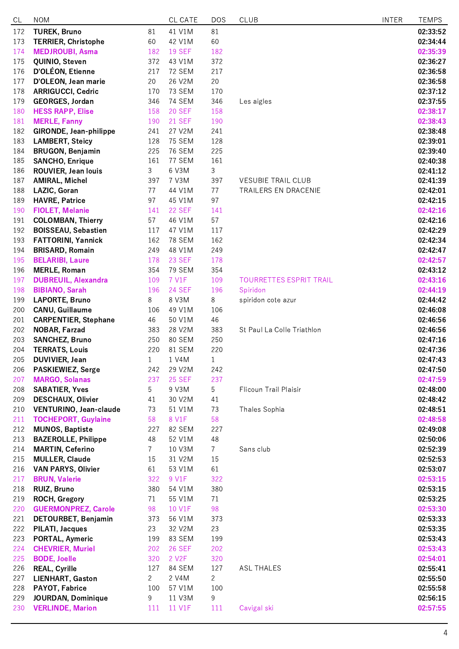| CL         | <b>NOM</b>                                             |                | CL CATE                 | <b>DOS</b>     | <b>CLUB</b>                | <b>INTER</b> | <b>TEMPS</b>         |
|------------|--------------------------------------------------------|----------------|-------------------------|----------------|----------------------------|--------------|----------------------|
| 172        | <b>TUREK, Bruno</b>                                    | 81             | 41 V1M                  | 81             |                            |              | 02:33:52             |
| 173        | <b>TERRIER, Christophe</b>                             | 60             | 42 V1M                  | 60             |                            |              | 02:34:44             |
| 174        | <b>MEDJROUBI, Asma</b>                                 | 182            | <b>19 SEF</b>           | 182            |                            |              | 02:35:39             |
| 175        | QUINIO, Steven                                         | 372            | 43 V1M                  | 372            |                            |              | 02:36:27             |
| 176        | D'OLÉON, Etienne                                       | 217            | <b>72 SEM</b>           | 217            |                            |              | 02:36:58             |
| 177        | D'OLEON, Jean marie                                    | 20             | 26 V2M                  | 20             |                            |              | 02:36:58             |
| 178        | <b>ARRIGUCCI, Cedric</b>                               | 170            | <b>73 SEM</b>           | 170            |                            |              | 02:37:12             |
| 179        | GEORGES, Jordan                                        | 346            | <b>74 SEM</b>           | 346            | Les aigles                 |              | 02:37:55             |
| 180        | <b>HESS RAPP, Elise</b>                                | 158            | <b>20 SEF</b>           | 158            |                            |              | 02:38:17             |
| 181        | <b>MERLE, Fanny</b>                                    | 190            | <b>21 SEF</b>           | 190            |                            |              | 02:38:43             |
| 182        | <b>GIRONDE, Jean-philippe</b>                          | 241            | 27 V2M                  | 241            |                            |              | 02:38:48             |
| 183        | <b>LAMBERT, Steicy</b>                                 | 128            | <b>75 SEM</b>           | 128            |                            |              | 02:39:01             |
| 184        | <b>BRUGON, Benjamin</b>                                | 225            | <b>76 SEM</b>           | 225            |                            |              | 02:39:40             |
| 185        | <b>SANCHO, Enrique</b>                                 | 161            | 77 SEM                  | 161            |                            |              | 02:40:38             |
| 186        | <b>ROUVIER, Jean louis</b>                             | 3              | 6 V3M                   | 3              |                            |              | 02:41:12             |
| 187        | <b>AMIRAL, Michel</b>                                  | 397            | 7 V3M                   | 397            | <b>VESUBIE TRAIL CLUB</b>  |              | 02:41:39             |
| 188        | LAZIC, Goran                                           | 77             | 44 V1M                  | 77             | TRAILERS EN DRACENIE       |              | 02:42:01             |
| 189        | <b>HAVRE, Patrice</b>                                  | 97             | 45 V1M<br><b>22 SEF</b> | 97             |                            |              | 02:42:15             |
| 190        | <b>FIOLET, Melanie</b>                                 | 141            |                         | 141<br>57      |                            |              | 02:42:16             |
| 191<br>192 | <b>COLOMBAN, Thierry</b><br><b>BOISSEAU, Sebastien</b> | 57<br>117      | 46 V1M<br>47 V1M        | 117            |                            |              | 02:42:16<br>02:42:29 |
| 193        | <b>FATTORINI, Yannick</b>                              | 162            | <b>78 SEM</b>           | 162            |                            |              | 02:42:34             |
| 194        | <b>BRISARD, Romain</b>                                 | 249            | 48 V1M                  | 249            |                            |              | 02:42:47             |
| 195        | <b>BELARIBI, Laure</b>                                 | 178            | <b>23 SEF</b>           | 178            |                            |              | 02:42:57             |
| 196        | <b>MERLE, Roman</b>                                    | 354            | <b>79 SEM</b>           | 354            |                            |              | 02:43:12             |
| 197        | <b>DUBREUIL, Alexandra</b>                             | 109            | 7 V1F                   | 109            | TOURRETTES ESPRIT TRAIL    |              | 02:43:16             |
| 198        | <b>BIBIANO, Sarah</b>                                  | 196            | <b>24 SEF</b>           | 196            | Spiridon                   |              | 02:44:19             |
| 199        | <b>LAPORTE, Bruno</b>                                  | 8              | 8 V3M                   | 8              | spiridon cote azur         |              | 02:44:42             |
| 200        | <b>CANU, Guillaume</b>                                 | 106            | 49 V1M                  | 106            |                            |              | 02:46:08             |
| 201        | <b>CARPENTIER, Stephane</b>                            | 46             | 50 V1M                  | 46             |                            |              | 02:46:56             |
| 202        | NOBAR, Farzad                                          | 383            | 28 V2M                  | 383            | St Paul La Colle Triathlon |              | 02:46:56             |
| 203        | <b>SANCHEZ, Bruno</b>                                  | 250            | 80 SEM                  | 250            |                            |              | 02:47:16             |
| 204        | <b>TERRATS, Louis</b>                                  | 220            | 81 SEM                  | 220            |                            |              | 02:47:36             |
| 205        | DUVIVIER, Jean                                         | $\mathbf{1}$   | 1 V4M                   | $\mathbf{1}$   |                            |              | 02:47:43             |
| 206        | PASKIEWIEZ, Serge                                      | 242            | 29 V2M                  | 242            |                            |              | 02:47:50             |
| 207        | <b>MARGO, Solanas</b>                                  | 237            | <b>25 SEF</b>           | 237            |                            |              | 02:47:59             |
| 208        | <b>SABATIER, Yves</b>                                  | 5              | 9 V3M                   | 5              | Flicoun Trail Plaisir      |              | 02:48:00             |
| 209        | <b>DESCHAUX, Olivier</b>                               | 41             | 30 V2M                  | 41             |                            |              | 02:48:42             |
| 210        | VENTURINO, Jean-claude                                 | 73             | 51 V1M                  | 73             | Thales Sophia              |              | 02:48:51             |
| 211        | <b>TOCHEPORT, Guylaine</b>                             | 58             | 8 V1F                   | 58             |                            |              | 02:48:58             |
| 212        | <b>MUNOS, Baptiste</b>                                 | 227            | 82 SEM                  | 227            |                            |              | 02:49:08             |
| 213        | <b>BAZEROLLE, Philippe</b>                             | 48             | 52 V1M                  | 48             |                            |              | 02:50:06             |
| 214        | <b>MARTIN, Ceferino</b>                                | $\overline{7}$ | 10 V3M                  | 7 <sup>7</sup> | Sans club                  |              | 02:52:39             |
| 215        | <b>MULLER, Claude</b>                                  | 15             | 31 V2M                  | 15             |                            |              | 02:52:53             |
| 216        | <b>VAN PARYS, Olivier</b>                              | 61             | 53 V1M                  | 61             |                            |              | 02:53:07             |
| 217        | <b>BRUN, Valerie</b>                                   | 322            | 9 V1F                   | 322            |                            |              | 02:53:15             |
| 218<br>219 | RUIZ, Bruno<br><b>ROCH, Gregory</b>                    | 380<br>71      | 54 V1M<br>55 V1M        | 380<br>71      |                            |              | 02:53:15<br>02:53:25 |
|            |                                                        | 98             |                         | 98             |                            |              |                      |
| 220<br>221 | <b>GUERMONPREZ, Carole</b><br>DETOURBET, Benjamin      | 373            | 10 V1F<br>56 V1M        | 373            |                            |              | 02:53:30<br>02:53:33 |
| 222        | <b>PILATI, Jacques</b>                                 | 23             | 32 V2M                  | 23             |                            |              | 02:53:35             |
| 223        | PORTAL, Aymeric                                        | 199            | 83 SEM                  | 199            |                            |              | 02:53:43             |
| 224        | <b>CHEVRIER, Muriel</b>                                | 202            | <b>26 SEF</b>           | 202            |                            |              | 02:53:43             |
| 225        | <b>BODE, Joelle</b>                                    | 320            | 2 V <sub>2</sub> F      | 320            |                            |              | 02:54:01             |
| 226        | <b>REAL, Cyrille</b>                                   | 127            | 84 SEM                  | 127            | <b>ASL THALES</b>          |              | 02:55:41             |
| 227        | LIENHART, Gaston                                       | $\overline{2}$ | 2 V4M                   | $\overline{2}$ |                            |              | 02:55:50             |
| 228        | PAYOT, Fabrice                                         | 100            | 57 V1M                  | 100            |                            |              | 02:55:58             |
| 229        | <b>JOURDAN, Dominique</b>                              | 9              | 11 V3M                  | 9              |                            |              | 02:56:15             |
| 230        | <b>VERLINDE, Marion</b>                                | 111            | 11 V1F                  | 111            | Cavigal ski                |              | 02:57:55             |
|            |                                                        |                |                         |                |                            |              |                      |